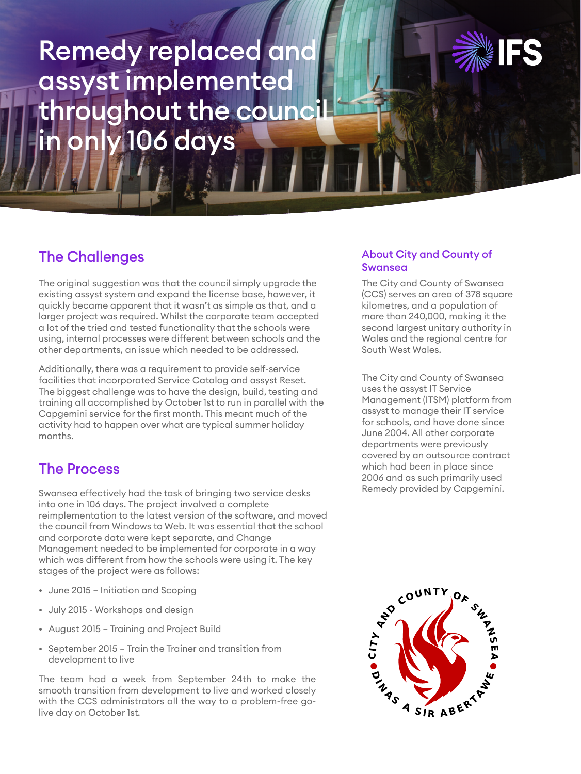# Remedy replaced and assyst implemented throughout the council in only 106 days



## The Challenges

The original suggestion was that the council simply upgrade the existing assyst system and expand the license base, however, it quickly became apparent that it wasn't as simple as that, and a larger project was required. Whilst the corporate team accepted a lot of the tried and tested functionality that the schools were using, internal processes were different between schools and the other departments, an issue which needed to be addressed.

Additionally, there was a requirement to provide self-service facilities that incorporated Service Catalog and assyst Reset. The biggest challenge was to have the design, build, testing and training all accomplished by October 1st to run in parallel with the Capgemini service for the first month. This meant much of the activity had to happen over what are typical summer holiday months.

## The Process

Swansea effectively had the task of bringing two service desks into one in 106 days. The project involved a complete reimplementation to the latest version of the software, and moved the council from Windows to Web. It was essential that the school and corporate data were kept separate, and Change Management needed to be implemented for corporate in a way which was different from how the schools were using it. The key stages of the project were as follows:

- June 2015 Initiation and Scoping
- July 2015 Workshops and design
- August 2015 Training and Project Build
- September 2015 Train the Trainer and transition from development to live

The team had a week from September 24th to make the smooth transition from development to live and worked closely with the CCS administrators all the way to a problem-free golive day on October 1st.

#### About City and County of Swansea

The City and County of Swansea (CCS) serves an area of 378 square kilometres, and a population of more than 240,000, making it the second largest unitary authority in Wales and the regional centre for South West Wales.

The City and County of Swansea uses the assyst IT Service Management (ITSM) platform from assyst to manage their IT service for schools, and have done since June 2004. All other corporate departments were previously covered by an outsource contract which had been in place since 2006 and as such primarily used Remedy provided by Capgemini.